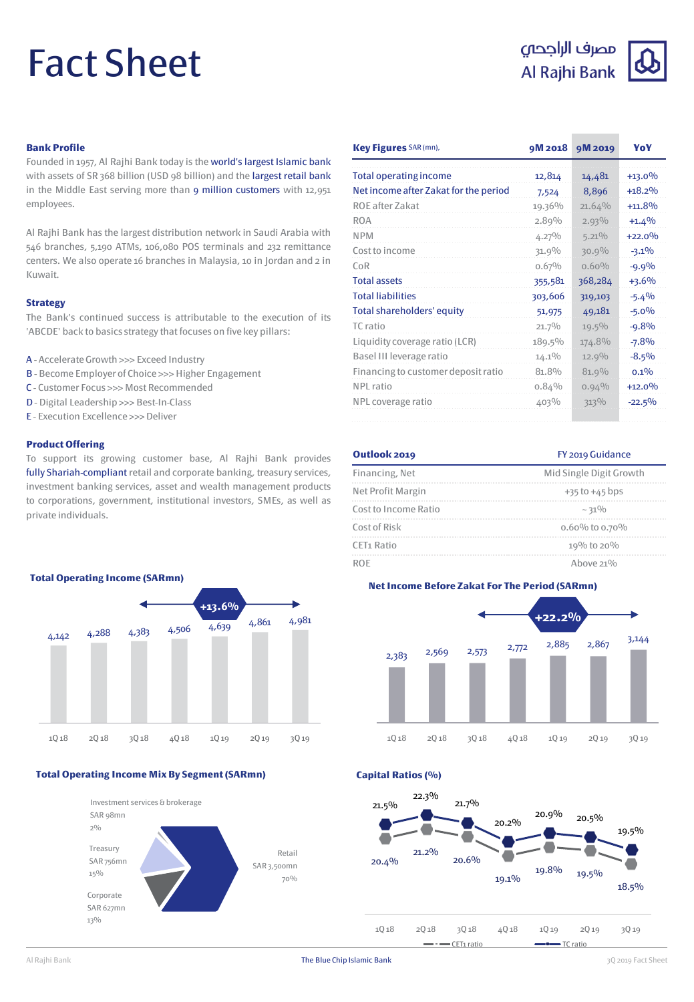# Fact Sheet

### مصرف الراجحى Al Rajhi Bank



### **Bank Profile**

Founded in 1957, Al Rajhi Bank today is the world's largest Islamic bank with assets of SR 368 billion (USD 98 billion) and the largest retail bank in the Middle East serving more than 9 million customers with 12,951 employees.

Al Rajhi Bank has the largest distribution network in Saudi Arabia with 546 branches, 5,190 ATMs, 106,080 POS terminals and 232 remittance centers. We also operate 16 branches in Malaysia, 10 in Jordan and 2 in Kuwait.

### **Strategy**

The Bank's continued success is attributable to the execution of its 'ABCDE' back to basics strategy that focuses on five key pillars:

- A Accelerate Growth >>> Exceed Industry
- B Become Employer of Choice >>> Higher Engagement
- C Customer Focus >>> Most Recommended
- D Digital Leadership >>> Best-In-Class
- E Execution Excellence >>>Deliver

### **Product Offering**

To support its growing customer base, Al Rajhi Bank provides fully Shariah-compliant retail and corporate banking, treasury services, investment banking services, asset and wealth management products to corporations, government, institutional investors, SMEs, as well as private individuals.



### **Total Operating Income Mix By Segment (SARmn)**



| Key Figures SAR (mn),                 | 9M 2018  | 9M 2019  | YoY      |
|---------------------------------------|----------|----------|----------|
| <b>Total operating income</b>         | 12,814   | 14,481   | $+13.0%$ |
| Net income after Zakat for the period | 7,524    | 8,896    | $+18.2%$ |
| ROE after Zakat                       | 19.36%   | 21.64%   | $+11.8%$ |
| <b>ROA</b>                            | 2.89%    | $2.93\%$ | $+1.4%$  |
| <b>NPM</b>                            | $4.27\%$ | $5.21\%$ | $+22.0%$ |
| Cost to income                        | 31.9%    | 30.9%    | $-3.1\%$ |
| CoR                                   | 0.67%    | $0.60\%$ | $-9.9%$  |
| <b>Total assets</b>                   | 355,581  | 368,284  | $+3.6%$  |
| <b>Total liabilities</b>              | 303,606  | 319,103  | $-5.4%$  |
| Total shareholders' equity            | 51,975   | 49,181   | $-5.0\%$ |
| TC ratio                              | 21.7%    | $19.5\%$ | $-9.8%$  |
| Liquidity coverage ratio (LCR)        | 189.5%   | 174.8%   | $-7.8%$  |
| Basel III leverage ratio              | $14.1\%$ | 12.9%    | $-8.5\%$ |
| Financing to customer deposit ratio   | 81.8%    | 81.9%    | $0.1\%$  |
| NPL ratio                             | 0.84%    | $0.94\%$ | $+12.0%$ |
| NPL coverage ratio                    | 403%     | 313%     | $-22.5%$ |

| Outlook 2019           | FY 2019 Guidance        |  |
|------------------------|-------------------------|--|
| Financing, Net         | Mid Single Digit Growth |  |
| Net Profit Margin      | $+35$ to $+45$ bps      |  |
| Cost to Income Ratio   | ~10/0                   |  |
| Cost of Risk           | 0.60% to 0.70%          |  |
| CET <sub>1</sub> Ratio | 19% to 20%              |  |
| RÛE                    | Ahove $21\%$            |  |



**Capital Ratios (%)**



Al Rajhi Bank 3Q 2019 Fact Sheet